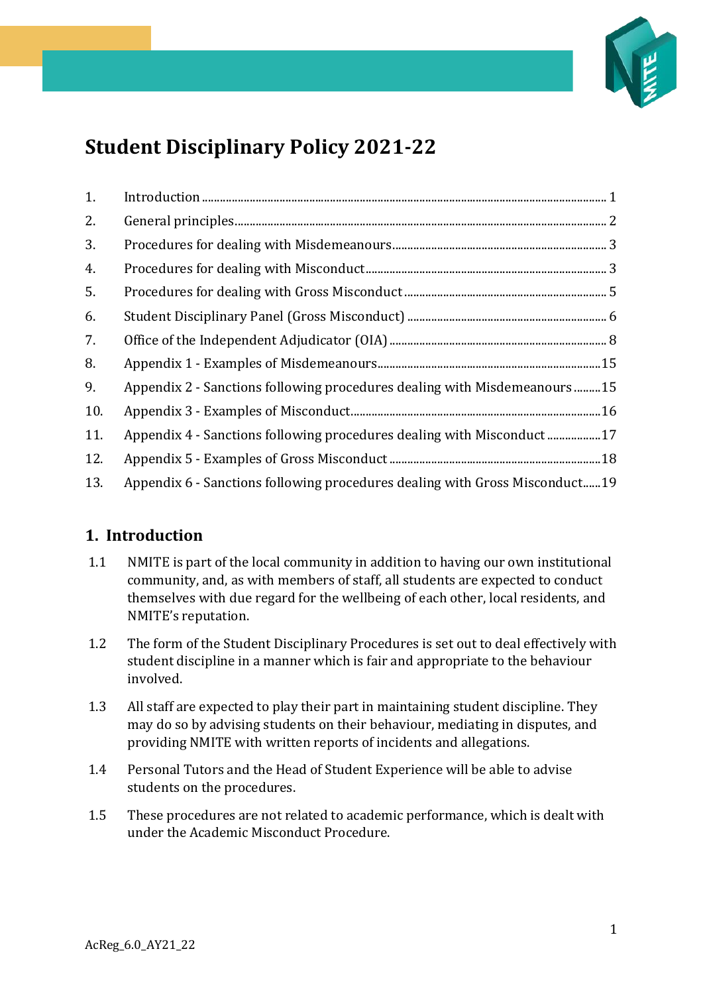

# **Student Disciplinary Policy 2021-22**

| 1.  |                                                                             |  |
|-----|-----------------------------------------------------------------------------|--|
| 2.  |                                                                             |  |
| 3.  |                                                                             |  |
| 4.  |                                                                             |  |
| 5.  |                                                                             |  |
| 6.  |                                                                             |  |
| 7.  |                                                                             |  |
| 8.  |                                                                             |  |
| 9.  | Appendix 2 - Sanctions following procedures dealing with Misdemeanours15    |  |
| 10. |                                                                             |  |
| 11. | Appendix 4 - Sanctions following procedures dealing with Misconduct17       |  |
| 12. |                                                                             |  |
| 13. | Appendix 6 - Sanctions following procedures dealing with Gross Misconduct19 |  |

## <span id="page-0-0"></span>**1. Introduction**

- 1.1 NMITE is part of the local community in addition to having our own institutional community, and, as with members of staff, all students are expected to conduct themselves with due regard for the wellbeing of each other, local residents, and NMITE's reputation.
- 1.2 The form of the Student Disciplinary Procedures is set out to deal effectively with student discipline in a manner which is fair and appropriate to the behaviour involved.
- 1.3 All staff are expected to play their part in maintaining student discipline. They may do so by advising students on their behaviour, mediating in disputes, and providing NMITE with written reports of incidents and allegations.
- 1.4 Personal Tutors and the Head of Student Experience will be able to advise students on the procedures.
- 1.5 These procedures are not related to academic performance, which is dealt with under the Academic Misconduct Procedure.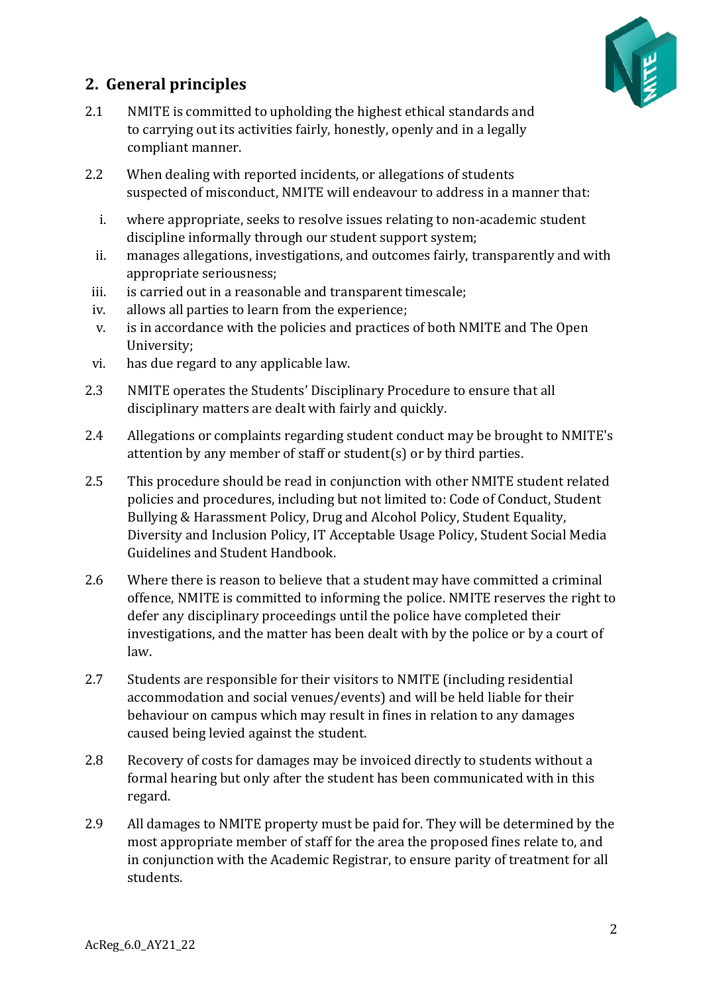

## <span id="page-1-0"></span>**2. General principles**

- 2.1 NMITE is committed to upholding the highest ethical standards and to carrying out its activities fairly, honestly, openly and in a legally compliant manner.
- 2.2 When dealing with reported incidents, or allegations of students suspected of misconduct, NMITE will endeavour to address in a manner that:
	- i. where appropriate, seeks to resolve issues relating to non-academic student discipline informally through our student support system;
	- ii. manages allegations, investigations, and outcomes fairly, transparently and with appropriate seriousness;
	- iii. is carried out in a reasonable and transparent timescale;
	- iv. allows all parties to learn from the experience;
	- v. is in accordance with the policies and practices of both NMITE and The Open University;
- vi. has due regard to any applicable law.
- 2.3 NMITE operates the Students' Disciplinary Procedure to ensure that all disciplinary matters are dealt with fairly and quickly.
- 2.4 Allegations or complaints regarding student conduct may be brought to NMITE's attention by any member of staff or student(s) or by third parties.
- 2.5 This procedure should be read in conjunction with other NMITE student related policies and procedures, including but not limited to: Code of Conduct, Student Bullying & Harassment Policy, Drug and Alcohol Policy, Student Equality, Diversity and Inclusion Policy, IT Acceptable Usage Policy, Student Social Media Guidelines and Student Handbook.
- 2.6 Where there is reason to believe that a student may have committed a criminal offence, NMITE is committed to informing the police. NMITE reserves the right to defer any disciplinary proceedings until the police have completed their investigations, and the matter has been dealt with by the police or by a court of law.
- 2.7 Students are responsible for their visitors to NMITE (including residential accommodation and social venues/events) and will be held liable for their behaviour on campus which may result in fines in relation to any damages caused being levied against the student.
- 2.8 Recovery of costs for damages may be invoiced directly to students without a formal hearing but only after the student has been communicated with in this regard.
- 2.9 All damages to NMITE property must be paid for. They will be determined by the most appropriate member of staff for the area the proposed fines relate to, and in conjunction with the Academic Registrar, to ensure parity of treatment for all students.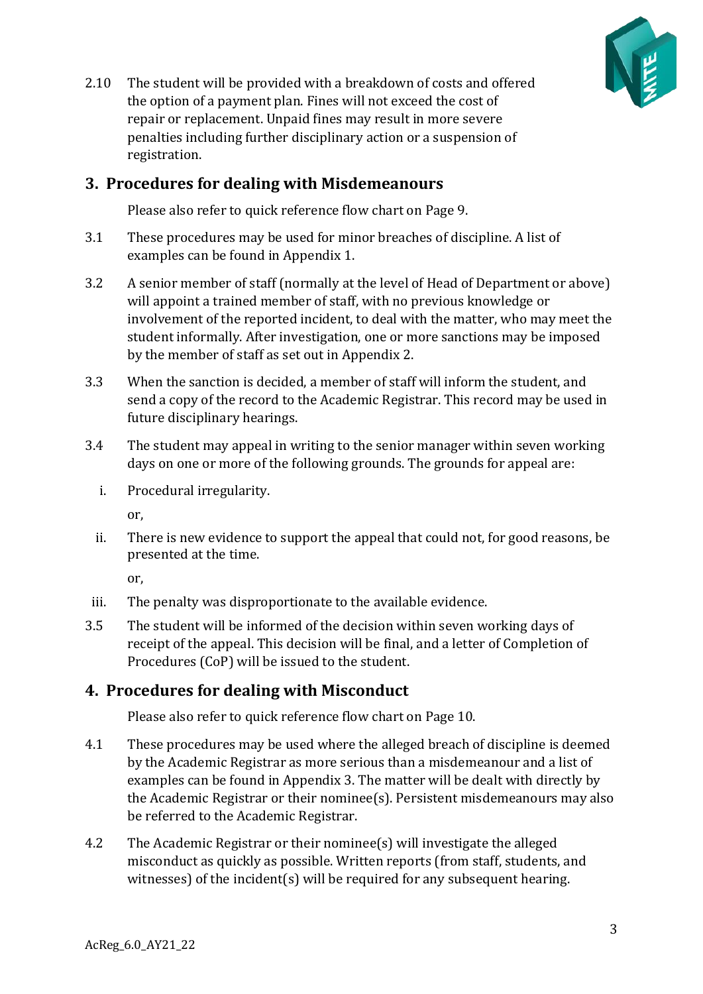

2.10 The student will be provided with a breakdown of costs and offered the option of a payment plan. Fines will not exceed the cost of repair or replacement. Unpaid fines may result in more severe penalties including further disciplinary action or a suspension of registration.

### <span id="page-2-0"></span>**3. Procedures for dealing with Misdemeanours**

Please also refer to quick reference flow chart on Page 9.

- 3.1 These procedures may be used for minor breaches of discipline. A list of examples can be found in Appendix 1.
- 3.2 A senior member of staff (normally at the level of Head of Department or above) will appoint a trained member of staff, with no previous knowledge or involvement of the reported incident, to deal with the matter, who may meet the student informally. After investigation, one or more sanctions may be imposed by the member of staff as set out in Appendix 2.
- 3.3 When the sanction is decided, a member of staff will inform the student, and send a copy of the record to the Academic Registrar. This record may be used in future disciplinary hearings.
- 3.4 The student may appeal in writing to the senior manager within seven working days on one or more of the following grounds. The grounds for appeal are:
	- i. Procedural irregularity.

or,

ii. There is new evidence to support the appeal that could not, for good reasons, be presented at the time.

or,

- iii. The penalty was disproportionate to the available evidence.
- 3.5 The student will be informed of the decision within seven working days of receipt of the appeal. This decision will be final, and a letter of Completion of Procedures (CoP) will be issued to the student.

### <span id="page-2-1"></span>**4. Procedures for dealing with Misconduct**

Please also refer to quick reference flow chart on Page 10.

- 4.1 These procedures may be used where the alleged breach of discipline is deemed by the Academic Registrar as more serious than a misdemeanour and a list of examples can be found in Appendix 3. The matter will be dealt with directly by the Academic Registrar or their nominee(s). Persistent misdemeanours may also be referred to the Academic Registrar.
- 4.2 The Academic Registrar or their nominee(s) will investigate the alleged misconduct as quickly as possible. Written reports (from staff, students, and witnesses) of the incident(s) will be required for any subsequent hearing.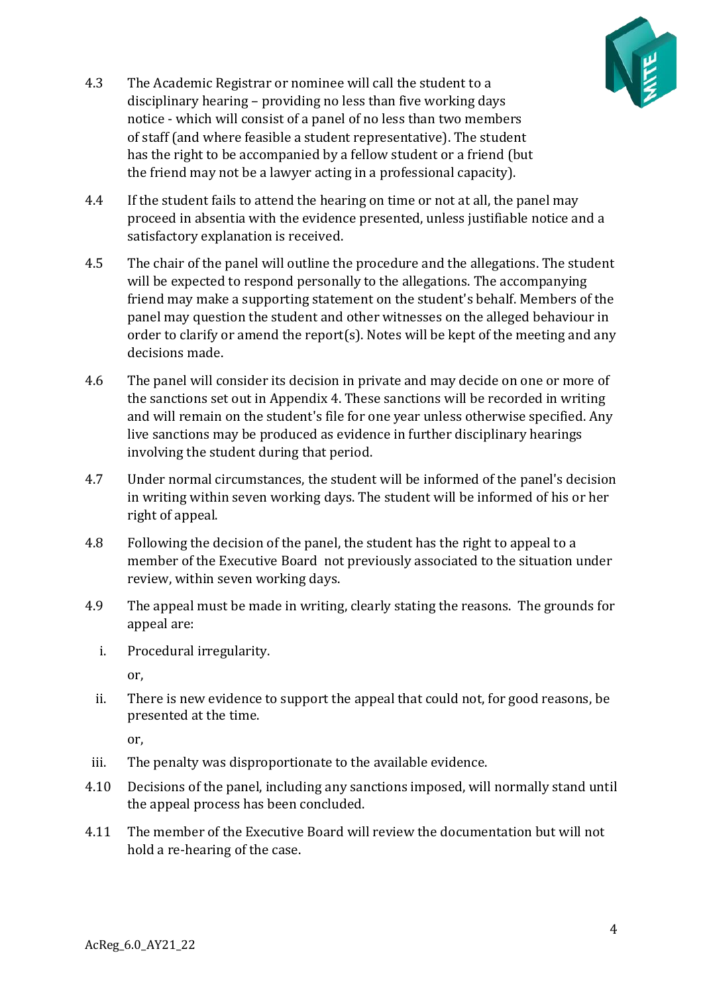

- 4.3 The Academic Registrar or nominee will call the student to a disciplinary hearing – providing no less than five working days notice - which will consist of a panel of no less than two members of staff (and where feasible a student representative). The student has the right to be accompanied by a fellow student or a friend (but the friend may not be a lawyer acting in a professional capacity).
- 4.4 If the student fails to attend the hearing on time or not at all, the panel may proceed in absentia with the evidence presented, unless justifiable notice and a satisfactory explanation is received.
- 4.5 The chair of the panel will outline the procedure and the allegations. The student will be expected to respond personally to the allegations. The accompanying friend may make a supporting statement on the student's behalf. Members of the panel may question the student and other witnesses on the alleged behaviour in order to clarify or amend the report(s). Notes will be kept of the meeting and any decisions made.
- 4.6 The panel will consider its decision in private and may decide on one or more of the sanctions set out in Appendix 4. These sanctions will be recorded in writing and will remain on the student's file for one year unless otherwise specified. Any live sanctions may be produced as evidence in further disciplinary hearings involving the student during that period.
- 4.7 Under normal circumstances, the student will be informed of the panel's decision in writing within seven working days. The student will be informed of his or her right of appeal.
- 4.8 Following the decision of the panel, the student has the right to appeal to a member of the Executive Board not previously associated to the situation under review, within seven working days.
- 4.9 The appeal must be made in writing, clearly stating the reasons. The grounds for appeal are:
	- i. Procedural irregularity.

or,

ii. There is new evidence to support the appeal that could not, for good reasons, be presented at the time.

or,

- iii. The penalty was disproportionate to the available evidence.
- 4.10 Decisions of the panel, including any sanctions imposed, will normally stand until the appeal process has been concluded.
- 4.11 The member of the Executive Board will review the documentation but will not hold a re-hearing of the case.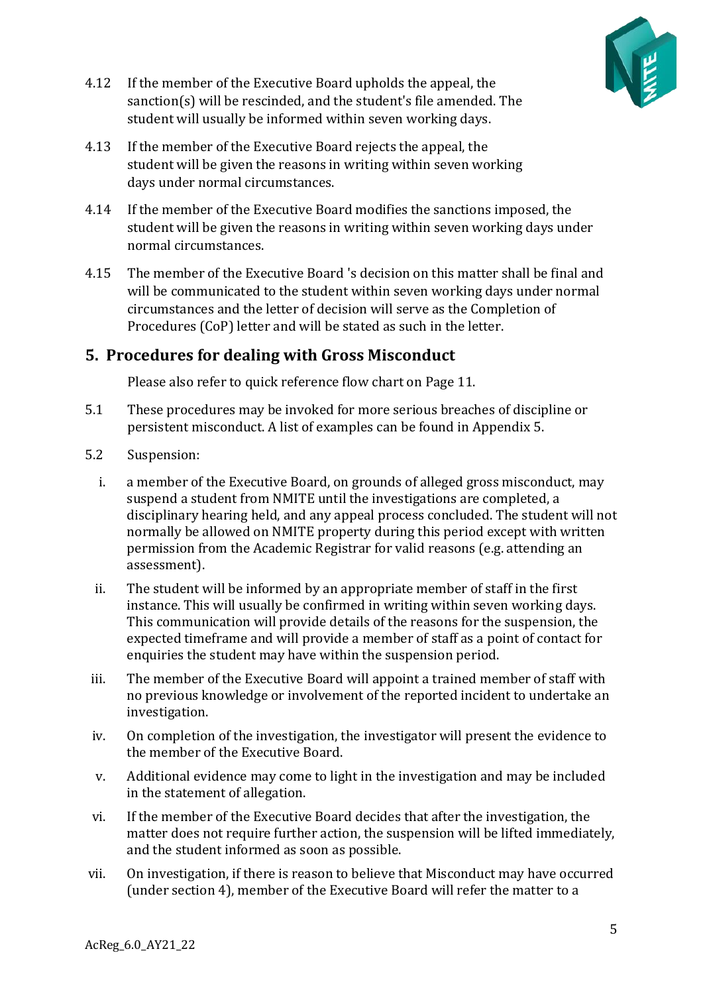

- 4.12 If the member of the Executive Board upholds the appeal, the sanction(s) will be rescinded, and the student's file amended. The student will usually be informed within seven working days.
- 4.13 If the member of the Executive Board rejects the appeal, the student will be given the reasons in writing within seven working days under normal circumstances.
- 4.14 If the member of the Executive Board modifies the sanctions imposed, the student will be given the reasons in writing within seven working days under normal circumstances.
- 4.15 The member of the Executive Board 's decision on this matter shall be final and will be communicated to the student within seven working days under normal circumstances and the letter of decision will serve as the Completion of Procedures (CoP) letter and will be stated as such in the letter.

### <span id="page-4-0"></span>**5. Procedures for dealing with Gross Misconduct**

Please also refer to quick reference flow chart on Page 11.

- 5.1 These procedures may be invoked for more serious breaches of discipline or persistent misconduct. A list of examples can be found in Appendix 5.
- 5.2 Suspension:
	- i. a member of the Executive Board, on grounds of alleged gross misconduct, may suspend a student from NMITE until the investigations are completed, a disciplinary hearing held, and any appeal process concluded. The student will not normally be allowed on NMITE property during this period except with written permission from the Academic Registrar for valid reasons (e.g. attending an assessment).
	- ii. The student will be informed by an appropriate member of staff in the first instance. This will usually be confirmed in writing within seven working days. This communication will provide details of the reasons for the suspension, the expected timeframe and will provide a member of staff as a point of contact for enquiries the student may have within the suspension period.
- iii. The member of the Executive Board will appoint a trained member of staff with no previous knowledge or involvement of the reported incident to undertake an investigation.
- iv. On completion of the investigation, the investigator will present the evidence to the member of the Executive Board.
- v. Additional evidence may come to light in the investigation and may be included in the statement of allegation.
- vi. If the member of the Executive Board decides that after the investigation, the matter does not require further action, the suspension will be lifted immediately, and the student informed as soon as possible.
- vii. On investigation, if there is reason to believe that Misconduct may have occurred (under section 4), member of the Executive Board will refer the matter to a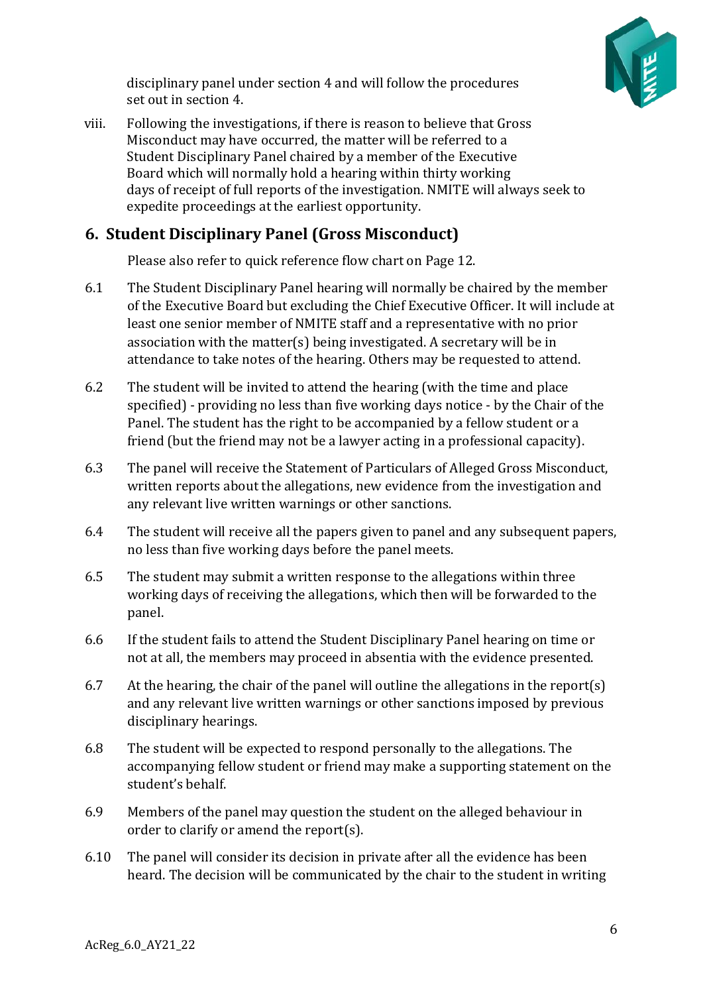

disciplinary panel under section 4 and will follow the procedures set out in section 4.

viii. Following the investigations, if there is reason to believe that Gross Misconduct may have occurred, the matter will be referred to a Student Disciplinary Panel chaired by a member of the Executive Board which will normally hold a hearing within thirty working days of receipt of full reports of the investigation. NMITE will always seek to expedite proceedings at the earliest opportunity.

### <span id="page-5-0"></span>**6. Student Disciplinary Panel (Gross Misconduct)**

Please also refer to quick reference flow chart on Page 12.

- 6.1 The Student Disciplinary Panel hearing will normally be chaired by the member of the Executive Board but excluding the Chief Executive Officer. It will include at least one senior member of NMITE staff and a representative with no prior association with the matter(s) being investigated. A secretary will be in attendance to take notes of the hearing. Others may be requested to attend.
- 6.2 The student will be invited to attend the hearing (with the time and place specified) - providing no less than five working days notice - by the Chair of the Panel. The student has the right to be accompanied by a fellow student or a friend (but the friend may not be a lawyer acting in a professional capacity).
- 6.3 The panel will receive the Statement of Particulars of Alleged Gross Misconduct, written reports about the allegations, new evidence from the investigation and any relevant live written warnings or other sanctions.
- 6.4 The student will receive all the papers given to panel and any subsequent papers, no less than five working days before the panel meets.
- 6.5 The student may submit a written response to the allegations within three working days of receiving the allegations, which then will be forwarded to the panel.
- 6.6 If the student fails to attend the Student Disciplinary Panel hearing on time or not at all, the members may proceed in absentia with the evidence presented.
- 6.7 At the hearing, the chair of the panel will outline the allegations in the report(s) and any relevant live written warnings or other sanctions imposed by previous disciplinary hearings.
- 6.8 The student will be expected to respond personally to the allegations. The accompanying fellow student or friend may make a supporting statement on the student's behalf.
- 6.9 Members of the panel may question the student on the alleged behaviour in order to clarify or amend the report(s).
- 6.10 The panel will consider its decision in private after all the evidence has been heard. The decision will be communicated by the chair to the student in writing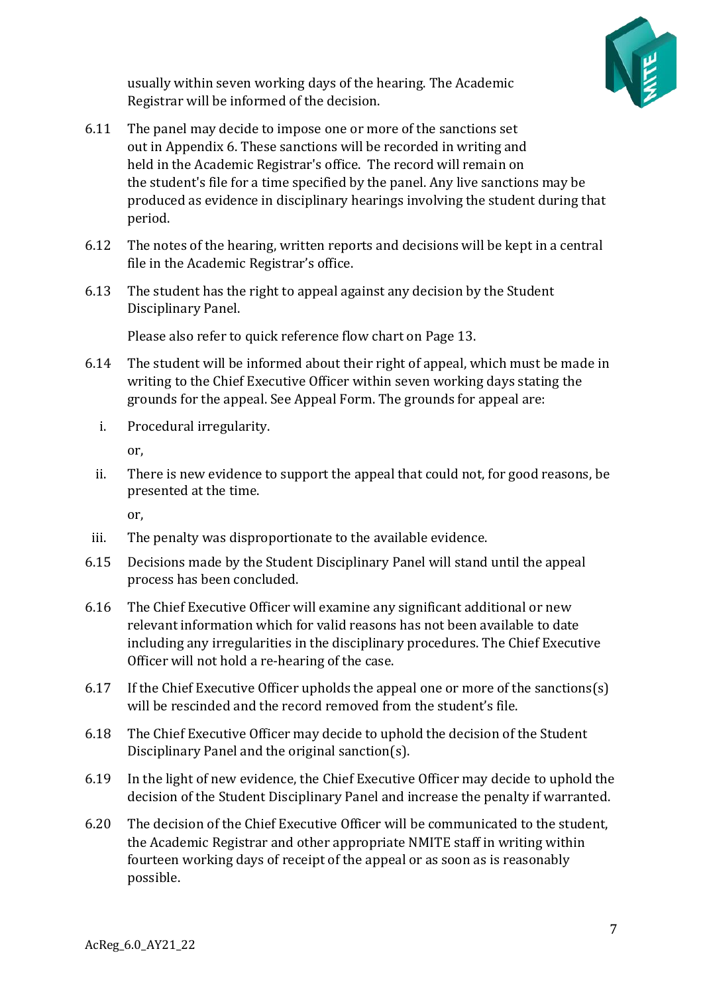

usually within seven working days of the hearing. The Academic Registrar will be informed of the decision.

- 6.11 The panel may decide to impose one or more of the sanctions set out in Appendix 6. These sanctions will be recorded in writing and held in the Academic Registrar's office. The record will remain on the student's file for a time specified by the panel. Any live sanctions may be produced as evidence in disciplinary hearings involving the student during that period.
- 6.12 The notes of the hearing, written reports and decisions will be kept in a central file in the Academic Registrar's office.
- 6.13 The student has the right to appeal against any decision by the Student Disciplinary Panel.

Please also refer to quick reference flow chart on Page 13.

- 6.14 The student will be informed about their right of appeal, which must be made in writing to the Chief Executive Officer within seven working days stating the grounds for the appeal. See Appeal Form. The grounds for appeal are:
	- i. Procedural irregularity.

or,

ii. There is new evidence to support the appeal that could not, for good reasons, be presented at the time.

or,

- iii. The penalty was disproportionate to the available evidence.
- 6.15 Decisions made by the Student Disciplinary Panel will stand until the appeal process has been concluded.
- 6.16 The Chief Executive Officer will examine any significant additional or new relevant information which for valid reasons has not been available to date including any irregularities in the disciplinary procedures. The Chief Executive Officer will not hold a re-hearing of the case.
- 6.17 If the Chief Executive Officer upholds the appeal one or more of the sanctions(s) will be rescinded and the record removed from the student's file.
- 6.18 The Chief Executive Officer may decide to uphold the decision of the Student Disciplinary Panel and the original sanction(s).
- 6.19 In the light of new evidence, the Chief Executive Officer may decide to uphold the decision of the Student Disciplinary Panel and increase the penalty if warranted.
- 6.20 The decision of the Chief Executive Officer will be communicated to the student, the Academic Registrar and other appropriate NMITE staff in writing within fourteen working days of receipt of the appeal or as soon as is reasonably possible.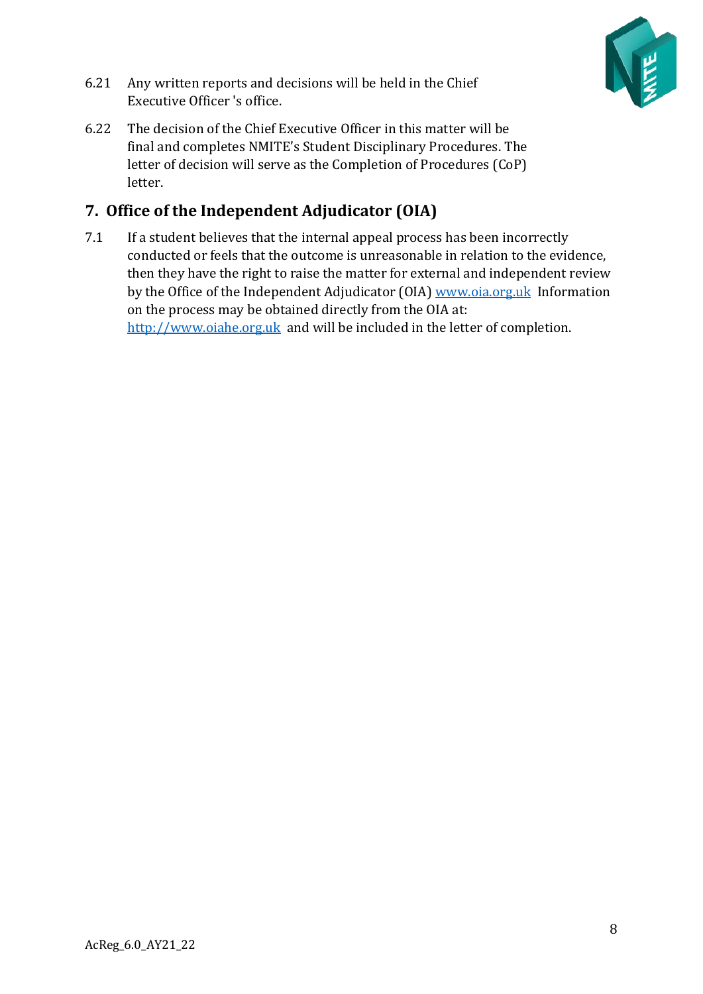

- 6.21 Any written reports and decisions will be held in the Chief Executive Officer 's office.
- 6.22 The decision of the Chief Executive Officer in this matter will be final and completes NMITE's Student Disciplinary Procedures. The letter of decision will serve as the Completion of Procedures (CoP) letter.

## <span id="page-7-0"></span>**7. Office of the Independent Adjudicator (OIA)**

7.1 If a student believes that the internal appeal process has been incorrectly conducted or feels that the outcome is unreasonable in relation to the evidence, then they have the right to raise the matter for external and independent review by the Office of the Independent Adjudicator (OIA) [www.oia.org.uk](http://www.oia.org.uk/) Information on the process may be obtained directly from the OIA at: [http://www.oiahe.org.uk](http://www.oiahe.org.uk/) and will be included in the letter of completion.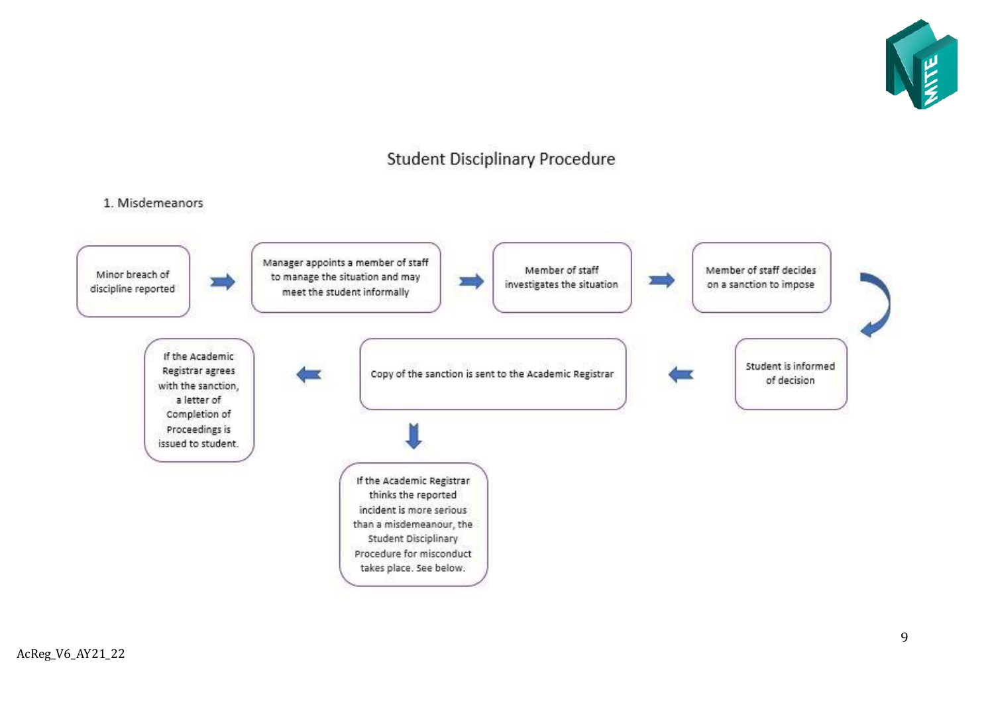

### 1. Misdemeanors

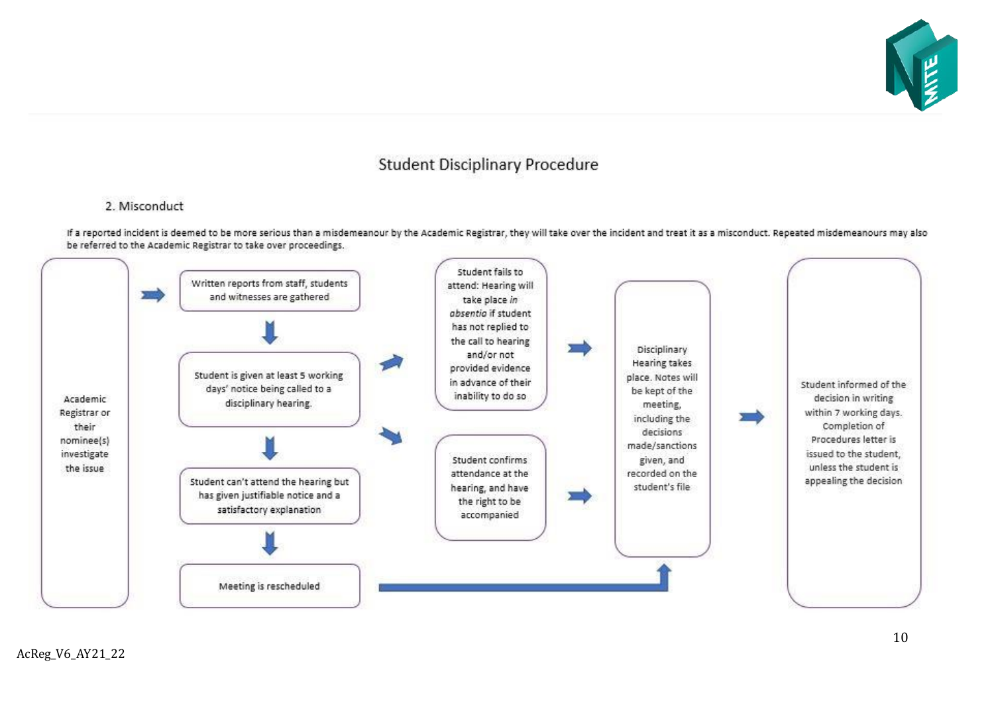

### 2. Misconduct

If a reported incident is deemed to be more serious than a misdemeanour by the Academic Registrar, they will take over the incident and treat it as a misconduct. Repeated misdemeanours may also be referred to the Academic Registrar to take over proceedings.

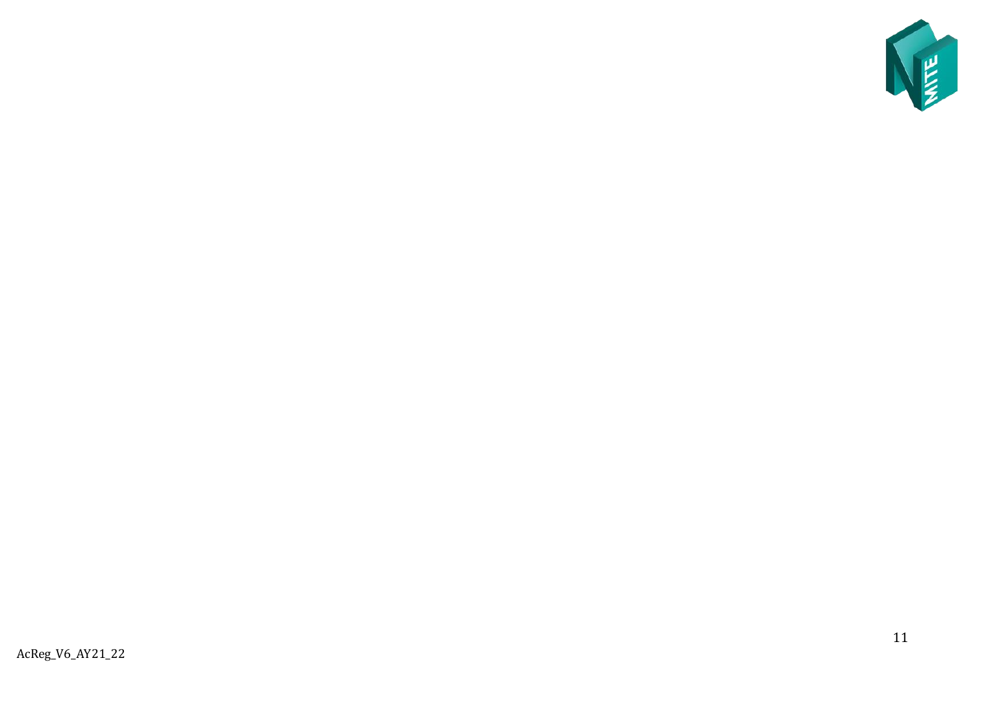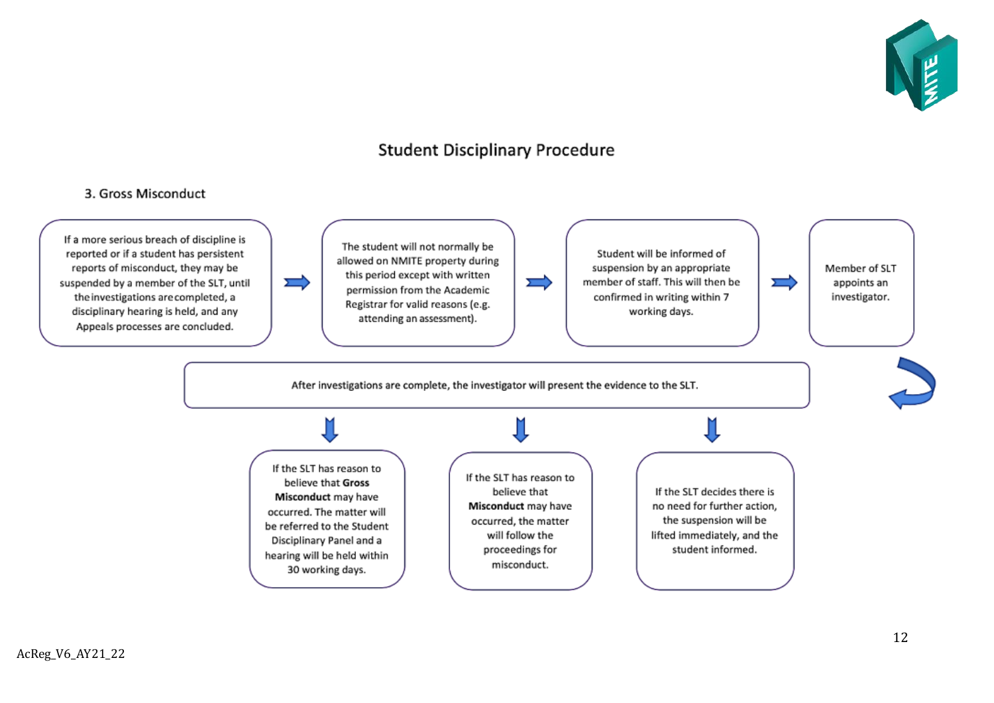

### 3. Gross Misconduct

If a more serious breach of discipline is reported or if a student has persistent reports of misconduct, they may be suspended by a member of the SLT, until the investigations are completed, a disciplinary hearing is held, and any Appeals processes are concluded.

The student will not normally be allowed on NMITE property during this period except with written permission from the Academic Registrar for valid reasons (e.g. attending an assessment).

Student will be informed of suspension by an appropriate member of staff. This will then be confirmed in writing within 7 working days.

Member of SLT appoints an investigator.

y.

After investigations are complete, the investigator will present the evidence to the SLT.

If the SLT has reason to believe that Gross Misconduct may have occurred. The matter will be referred to the Student Disciplinary Panel and a hearing will be held within 30 working days.

 $\overline{\phantom{a}}$ 

# If the SLT has reason to believe that Misconduct may have

occurred, the matter will follow the proceedings for misconduct.

T

If the SLT decides there is no need for further action. the suspension will be lifted immediately, and the student informed.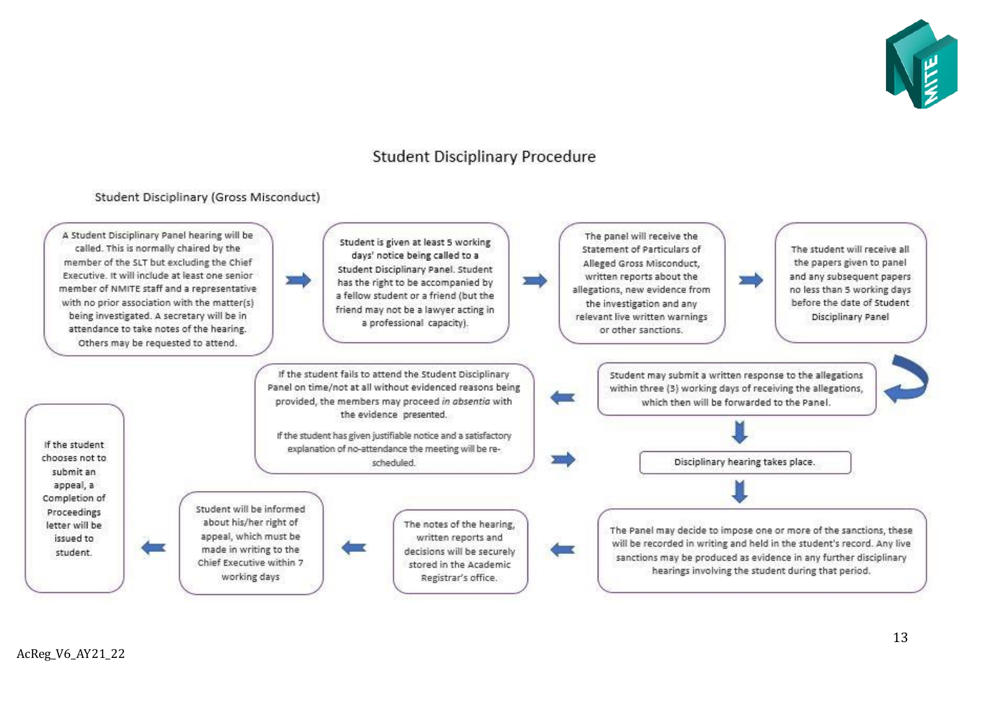

#### Student Disciplinary (Gross Misconduct)

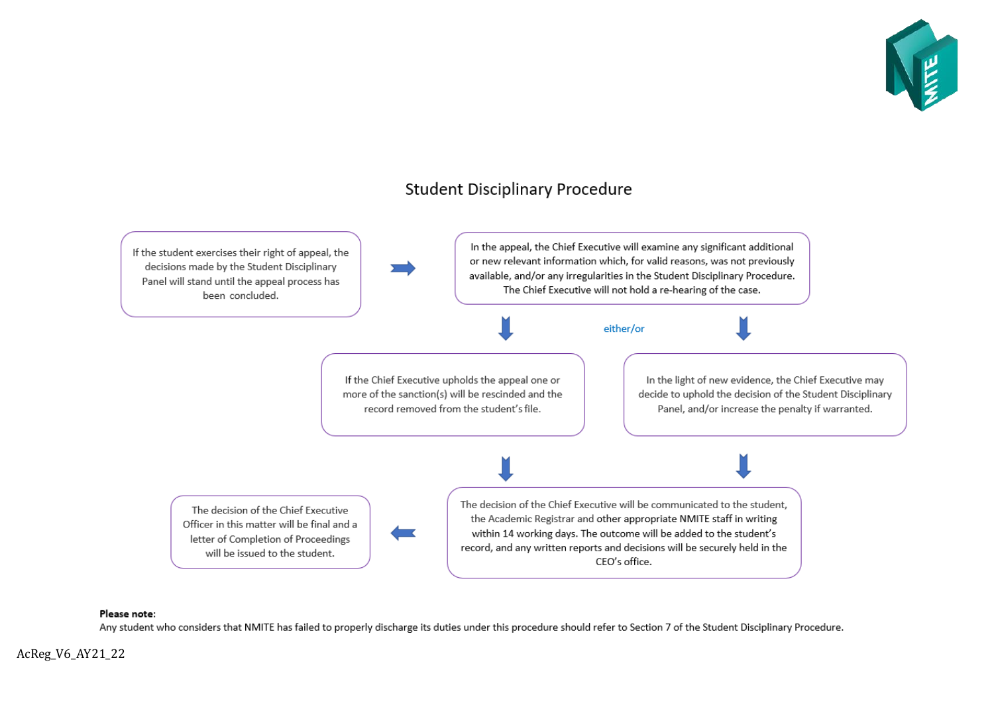



#### Please note:

Any student who considers that NMITE has failed to properly discharge its duties under this procedure should refer to Section 7 of the Student Disciplinary Procedure.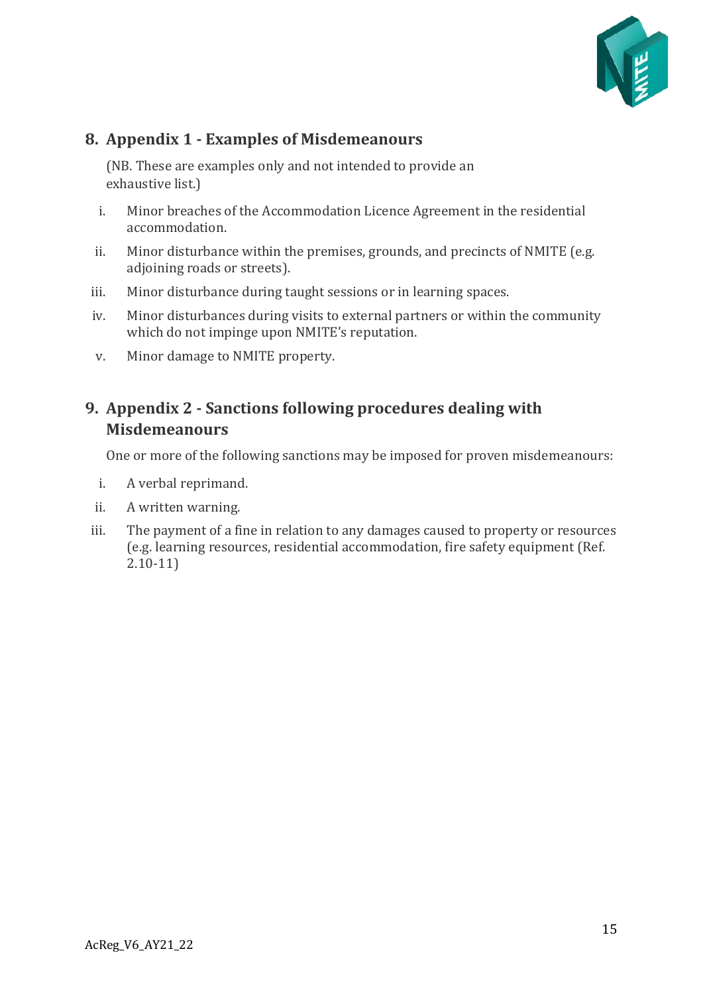

### <span id="page-14-0"></span>**8. Appendix 1 - Examples of Misdemeanours**

(NB. These are examples only and not intended to provide an exhaustive list.)

- i. Minor breaches of the Accommodation Licence Agreement in the residential accommodation.
- ii. Minor disturbance within the premises, grounds, and precincts of NMITE (e.g. adjoining roads or streets).
- iii. Minor disturbance during taught sessions or in learning spaces.
- iv. Minor disturbances during visits to external partners or within the community which do not impinge upon NMITE's reputation.
- v. Minor damage to NMITE property.

### <span id="page-14-1"></span>**9. Appendix 2 - Sanctions following procedures dealing with Misdemeanours**

One or more of the following sanctions may be imposed for proven misdemeanours:

- i. A verbal reprimand.
- ii. A written warning.
- iii. The payment of a fine in relation to any damages caused to property or resources (e.g. learning resources, residential accommodation, fire safety equipment (Ref. 2.10-11)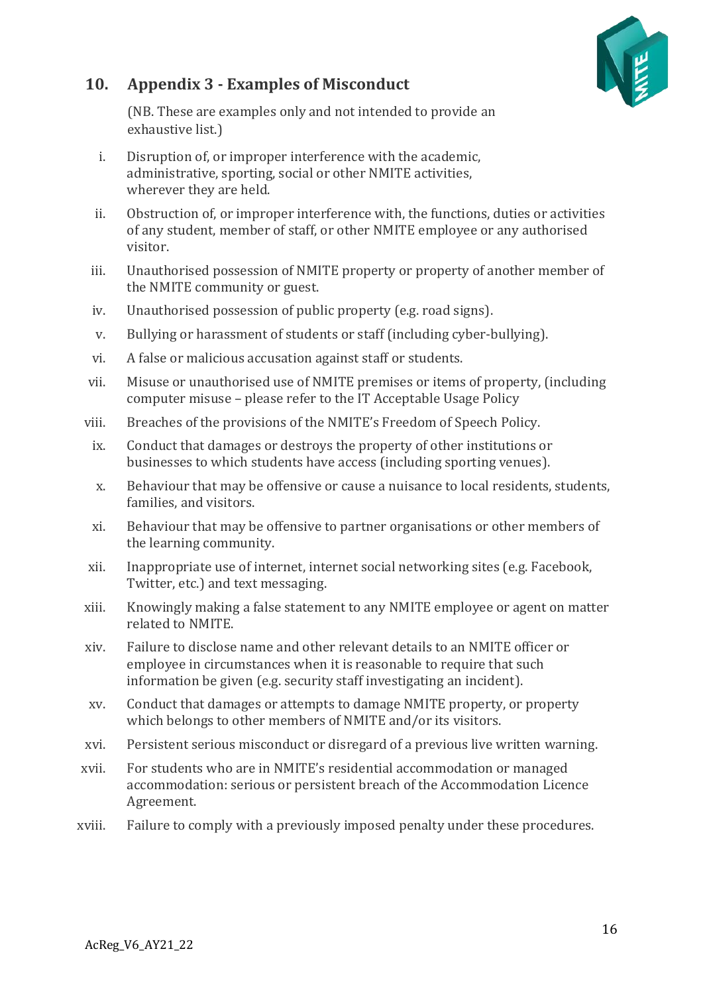

### <span id="page-15-0"></span>**10. Appendix 3 - Examples of Misconduct**

(NB. These are examples only and not intended to provide an exhaustive list.)

- i. Disruption of, or improper interference with the academic, administrative, sporting, social or other NMITE activities, wherever they are held.
- ii. Obstruction of, or improper interference with, the functions, duties or activities of any student, member of staff, or other NMITE employee or any authorised visitor.
- iii. Unauthorised possession of NMITE property or property of another member of the NMITE community or guest.
- iv. Unauthorised possession of public property (e.g. road signs).
- v. Bullying or harassment of students or staff (including cyber-bullying).
- vi. A false or malicious accusation against staff or students.
- vii. Misuse or unauthorised use of NMITE premises or items of property, (including computer misuse – please refer to the IT Acceptable Usage Policy
- viii. Breaches of the provisions of the NMITE's Freedom of Speech Policy.
- ix. Conduct that damages or destroys the property of other institutions or businesses to which students have access (including sporting venues).
- x. Behaviour that may be offensive or cause a nuisance to local residents, students, families, and visitors.
- xi. Behaviour that may be offensive to partner organisations or other members of the learning community.
- xii. Inappropriate use of internet, internet social networking sites (e.g. Facebook, Twitter, etc.) and text messaging.
- xiii. Knowingly making a false statement to any NMITE employee or agent on matter related to NMITE.
- xiv. Failure to disclose name and other relevant details to an NMITE officer or employee in circumstances when it is reasonable to require that such information be given (e.g. security staff investigating an incident).
- xv. Conduct that damages or attempts to damage NMITE property, or property which belongs to other members of NMITE and/or its visitors.
- xvi. Persistent serious misconduct or disregard of a previous live written warning.
- xvii. For students who are in NMITE's residential accommodation or managed accommodation: serious or persistent breach of the Accommodation Licence Agreement.
- xviii. Failure to comply with a previously imposed penalty under these procedures.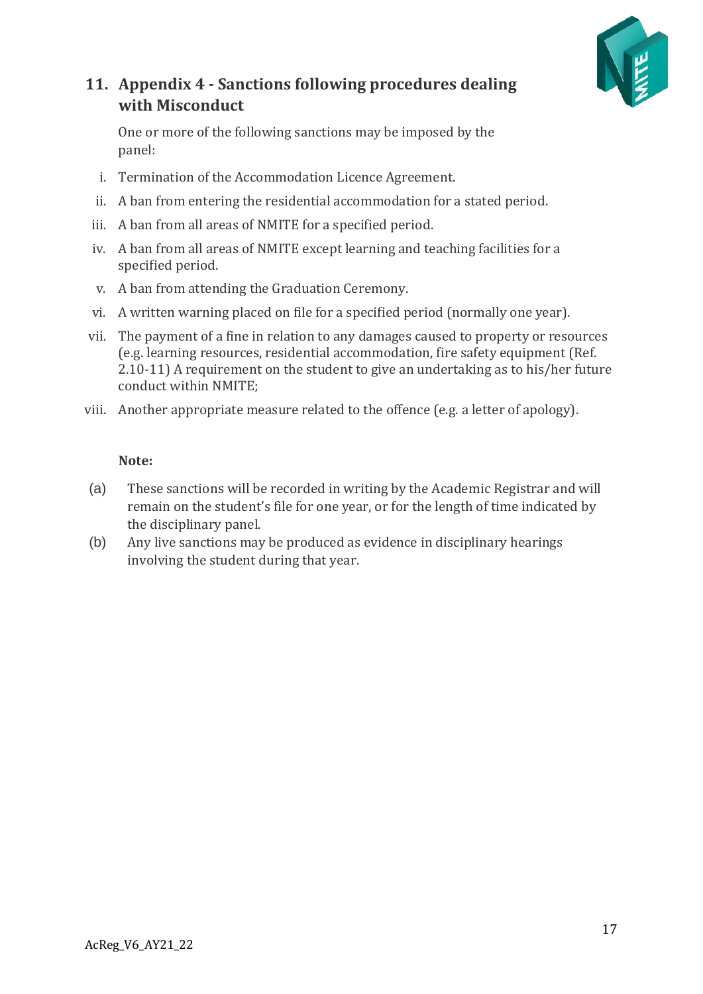

# <span id="page-16-0"></span>**11. Appendix 4 - Sanctions following procedures dealing with Misconduct**

One or more of the following sanctions may be imposed by the panel:

- i. Termination of the Accommodation Licence Agreement.
- ii. A ban from entering the residential accommodation for a stated period.
- iii. A ban from all areas of NMITE for a specified period.
- iv. A ban from all areas of NMITE except learning and teaching facilities for a specified period.
- v. A ban from attending the Graduation Ceremony.
- vi. A written warning placed on file for a specified period (normally one year).
- vii. The payment of a fine in relation to any damages caused to property or resources (e.g. learning resources, residential accommodation, fire safety equipment (Ref. 2.10-11) A requirement on the student to give an undertaking as to his/her future conduct within NMITE;
- viii. Another appropriate measure related to the offence (e.g. a letter of apology).

### **Note:**

- (a) These sanctions will be recorded in writing by the Academic Registrar and will remain on the student's file for one year, or for the length of time indicated by the disciplinary panel.
- (b) Any live sanctions may be produced as evidence in disciplinary hearings involving the student during that year.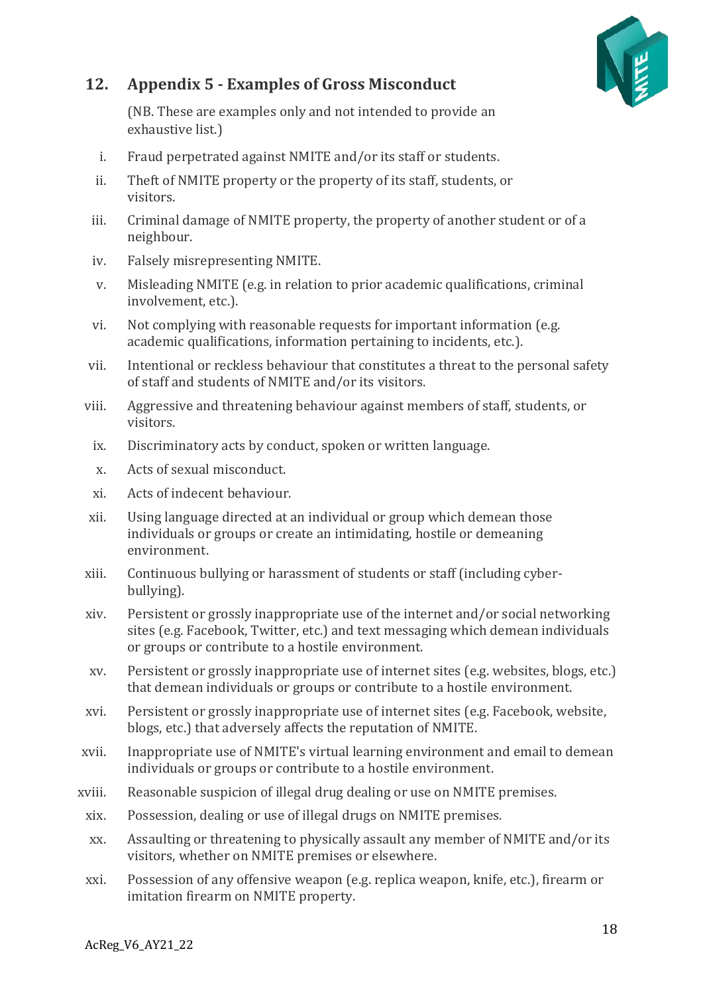

### <span id="page-17-0"></span>**12. Appendix 5 - Examples of Gross Misconduct**

(NB. These are examples only and not intended to provide an exhaustive list.)

- i. Fraud perpetrated against NMITE and/or its staff or students.
- ii. Theft of NMITE property or the property of its staff, students, or visitors.
- iii. Criminal damage of NMITE property, the property of another student or of a neighbour.
- iv. Falsely misrepresenting NMITE.
- v. Misleading NMITE (e.g. in relation to prior academic qualifications, criminal involvement, etc.).
- vi. Not complying with reasonable requests for important information (e.g. academic qualifications, information pertaining to incidents, etc.).
- vii. Intentional or reckless behaviour that constitutes a threat to the personal safety of staff and students of NMITE and/or its visitors.
- viii. Aggressive and threatening behaviour against members of staff, students, or visitors.
	- ix. Discriminatory acts by conduct, spoken or written language.
	- x. Acts of sexual misconduct.
	- xi. Acts of indecent behaviour.
- xii. Using language directed at an individual or group which demean those individuals or groups or create an intimidating, hostile or demeaning environment.
- xiii. Continuous bullying or harassment of students or staff (including cyberbullying).
- xiv. Persistent or grossly inappropriate use of the internet and/or social networking sites (e.g. Facebook, Twitter, etc.) and text messaging which demean individuals or groups or contribute to a hostile environment.
- xv. Persistent or grossly inappropriate use of internet sites (e.g. websites, blogs, etc.) that demean individuals or groups or contribute to a hostile environment.
- xvi. Persistent or grossly inappropriate use of internet sites (e.g. Facebook, website, blogs, etc.) that adversely affects the reputation of NMITE.
- xvii. Inappropriate use of NMITE's virtual learning environment and email to demean individuals or groups or contribute to a hostile environment.
- xviii. Reasonable suspicion of illegal drug dealing or use on NMITE premises.
- xix. Possession, dealing or use of illegal drugs on NMITE premises.
- xx. Assaulting or threatening to physically assault any member of NMITE and/or its visitors, whether on NMITE premises or elsewhere.
- xxi. Possession of any offensive weapon (e.g. replica weapon, knife, etc.), firearm or imitation firearm on NMITE property.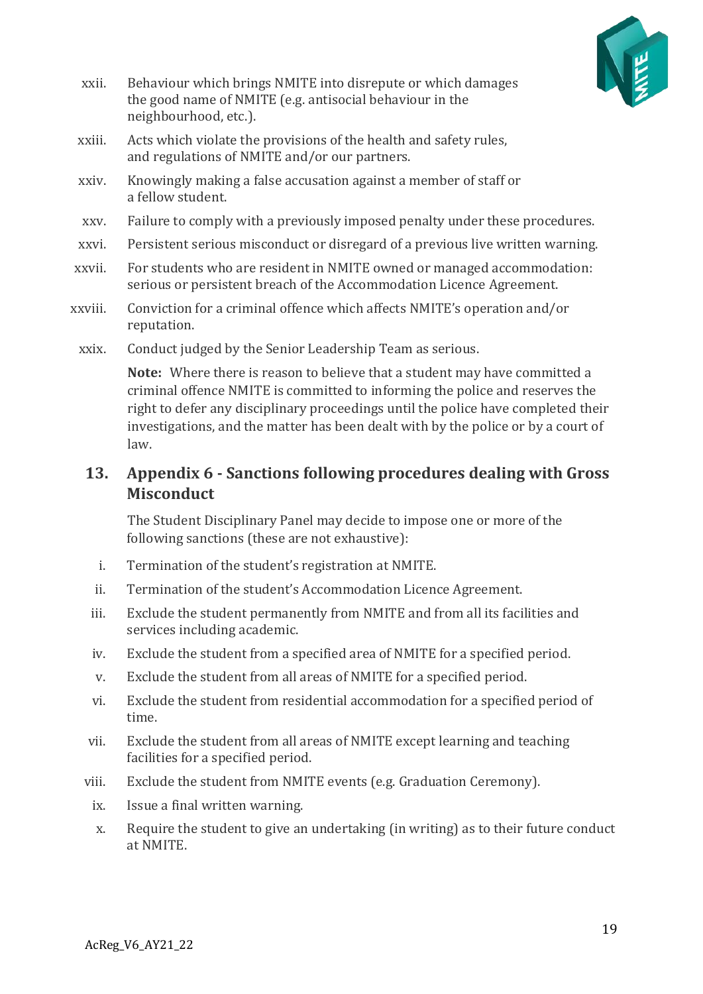

- xxii. Behaviour which brings NMITE into disrepute or which damages the good name of NMITE (e.g. antisocial behaviour in the neighbourhood, etc.).
- xxiii. Acts which violate the provisions of the health and safety rules, and regulations of NMITE and/or our partners.
- xxiv. Knowingly making a false accusation against a member of staff or a fellow student.
- xxv. Failure to comply with a previously imposed penalty under these procedures.
- xxvi. Persistent serious misconduct or disregard of a previous live written warning.
- xxvii. For students who are resident in NMITE owned or managed accommodation: serious or persistent breach of the Accommodation Licence Agreement.
- xxviii. Conviction for a criminal offence which affects NMITE's operation and/or reputation.
- xxix. Conduct judged by the Senior Leadership Team as serious.

**Note:** Where there is reason to believe that a student may have committed a criminal offence NMITE is committed to informing the police and reserves the right to defer any disciplinary proceedings until the police have completed their investigations, and the matter has been dealt with by the police or by a court of law.

### <span id="page-18-0"></span>**13. Appendix 6 - Sanctions following procedures dealing with Gross Misconduct**

The Student Disciplinary Panel may decide to impose one or more of the following sanctions (these are not exhaustive):

- i. Termination of the student's registration at NMITE.
- ii. Termination of the student's Accommodation Licence Agreement.
- iii. Exclude the student permanently from NMITE and from all its facilities and services including academic.
- iv. Exclude the student from a specified area of NMITE for a specified period.
- v. Exclude the student from all areas of NMITE for a specified period.
- vi. Exclude the student from residential accommodation for a specified period of time.
- vii. Exclude the student from all areas of NMITE except learning and teaching facilities for a specified period.
- viii. Exclude the student from NMITE events (e.g. Graduation Ceremony).
- ix. Issue a final written warning.
- x. Require the student to give an undertaking (in writing) as to their future conduct at NMITE.